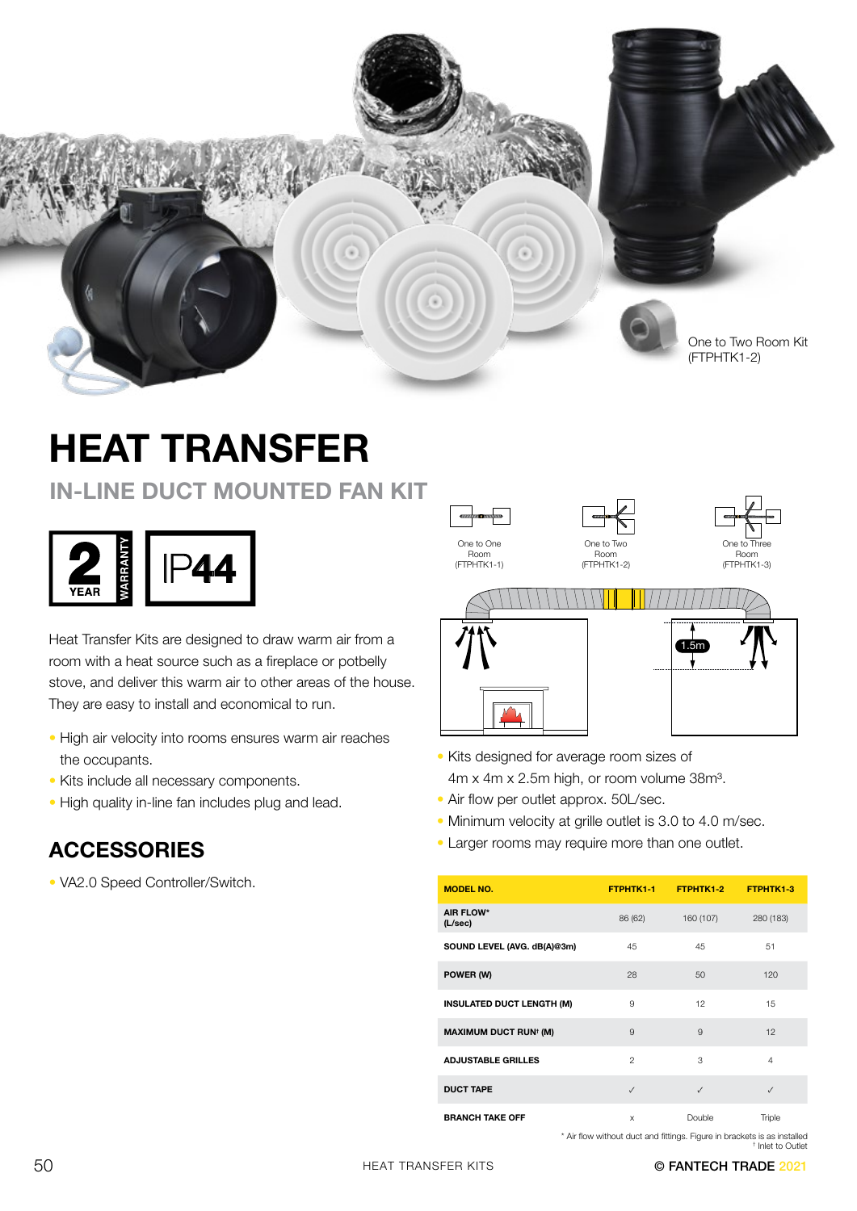

# HEAT TRANSFER

# IN-LINE DUCT MOUNTED FAN KIT



Heat Transfer Kits are designed to draw warm air from a room with a heat source such as a fireplace or potbelly stove, and deliver this warm air to other areas of the house. They are easy to install and economical to run.

- High air velocity into rooms ensures warm air reaches the occupants.
- Kits include all necessary components.
- High quality in-line fan includes plug and lead.

### **ACCESSORIES**

• VA2.0 Speed Controller/Switch.





One to Three Room (FTPHTK1-3)



- Kits designed for average room sizes of 4m x 4m x 2.5m high, or room volume 38m<sup>3</sup>.
- Air flow per outlet approx. 50L/sec.
- Minimum velocity at grille outlet is 3.0 to 4.0 m/sec.
- Larger rooms may require more than one outlet.

| <b>MODEL NO.</b>                        | FTPHTK1-1      | FTPHTK1-2    | FTPHTK1-3      |
|-----------------------------------------|----------------|--------------|----------------|
| AIR FLOW*<br>(L/sec)                    | 86 (62)        | 160 (107)    | 280 (183)      |
| SOUND LEVEL (AVG. dB(A)@3m)             | 45             | 45           | 51             |
| POWER (W)                               | 28             | 50           | 120            |
| <b>INSULATED DUCT LENGTH (M)</b>        | 9              | 12           | 15             |
| <b>MAXIMUM DUCT RUN<sup>†</sup> (M)</b> | 9              | 9            | 12             |
| <b>ADJUSTABLE GRILLES</b>               | $\mathfrak{p}$ | 3            | $\overline{4}$ |
| <b>DUCT TAPE</b>                        | $\checkmark$   | $\checkmark$ | $\checkmark$   |
| <b>BRANCH TAKE OFF</b>                  | X              | Double       | Triple         |